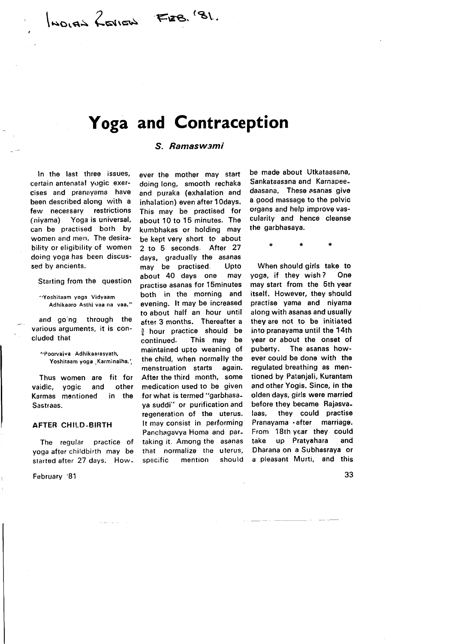\\*ro.es Z\*.\* FrsB. (3\.

# Yoga and Contraception

### S. Ramaswami

ln the last three issues, certain antenatal vogic exercises and pranayama have been described along with a few necessary restrictions (niyama) Yoga is universal, can be practised both bY women and men. The desirability or eligibility of women doing yoga has been discussed by ancients.

Starting from the question

"Yoshitaam yoga Vidyaam Adhikaaro Asthi vaa na vaa."

and go'ng through the various arguments, it is concluded that

',Poorvaiva Adhikaarasyath, Yoshitaam yoga Karminaiha.',

Thus women are fit for vaidic, yogic and other Karmas mentioned in the Sastraas.

#### AFTER CHILD.BIRTH

The regular practice of yoga after childbirth may be started after 27 days. How-

February '81

ever the mother may start doing long, smooth rechaka and puraka (exhalation and inhalation) even after 10days. This may be practised for about 10 to 15 minutes. The kumbhakas or holding may be kept very short to about 2 to 5 seconds. After 27 days, gradually the asanas may be practised. Upto about 40 days one may practise asanas for l5minutes both in the morning and evening. lt may be increased to about half an hour until after 3 months. Thereafter a  $\frac{3}{4}$  hour practice should be continued. This may be This may be maintained upto weaning of the child, when normally the menstruation starts again. After the third month, some medication used to be given for what is termed "garbhasaya suddi" or purification and regeneration of the uterus. It may consist in performing Panchagavya Homa and partaking it. Among the asanas that normalize the uterus, specific mention should

be made about Utkataasana, Sankataasana and Karnspeedaasana. These asanas give a good massage to the pelvic organs and help improve vascularity and hence cleanse the garbhasaya.

When should girls take to yoga, if they wish ? One may start from the 5th year itself. However, they should practise yama and niyama along with asanas and usually they are not to be initiated into pranayama until the 14th year or about the onset of puberty. The asanas however could be done with the regulated breathing as mentioned by Patanjali, Kurantam and other Yogis. Since, in the olden days, girls were married before they became Rajasvalaas, they could practise Pranayama . after marriage. From 18th year they could take up Pratyahara and Dharana on a Subhasraya or a pleasant Murti, and this

33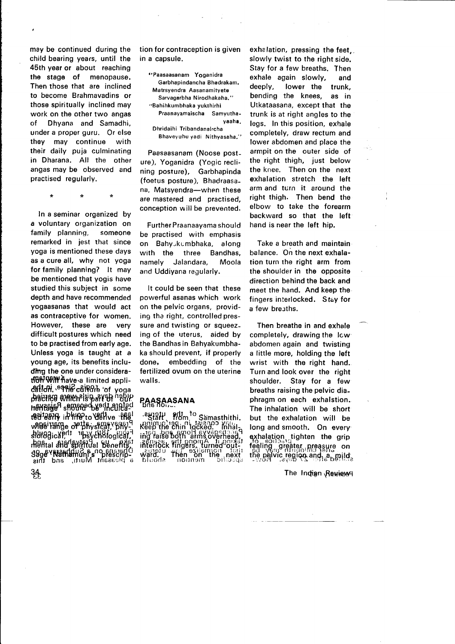may be continued during the child bearing years, until the 45th year or about reaching the stage of menopause. Then those that are inclined to become Brahmavadins or those spiritually inclined may work on the other two angas of Dhyana and Samadhi, under a proper guru. Or else they may continue with their daily puja culminating in Dharana. All the other angas may be observed and practised regularly.

 $\star$ 

In a seminar organized by a voluntary organization on family planning, someone remarked in jest that since yoga is mentioned these days as a cure all, why not yoga for family planning? lt may be mentioned that yogis have studied this subject in some depth and have recommended yogaasanas that would act as contraceptive for women. However, these are very difficult postures which need to be practised from early age. Unless yoga is taught at a young age, its benefits including the one under consideratfBfi<sup>T</sup>\bill<sup>a</sup> Aave a limited applielitoli. <sup>e</sup>Pilie<sup>C</sup>die0re 'of yoga<br>Asiring avamplug sysket <sup>o</sup>pply  $\alpha$ ngen af Ys $\alpha$ gulsnowe baryed. befolkhey benung Religions **Eagle in Hifthe Yeahve . FRS!** v9BBIHAfDe of thysical sphy. From OBH3VEd<sup>1</sup> thaksi88188 **:Refital afibit<br>S9g&<sup>v</sup>Nafile**<br>Sint bas

 $34$ 

tion for contraception is given in a capsule.

"Paasaasanam Yoganidra Garbhapindancha Bhadrakam. Matrsyendra Aasanamityete Sarvagarbha Nirodhakaha." "Bahihkumbhaka yukthirhi Praanayamaischa Samyuthayaaha. Dhridaihi Tribandanaircha

Bhaveyuhu yadi Nithyasaha."

Paasaasanam (Noose posture), Yoganidra (Yogic reclining posture), Garbhapinda (foetus posture), Bhadraasana, Matsyendra-when these are mastered and practised, conception will be prevented.

Further Praanaayama should be practised with emphasis on Bahy,kumbhaka, along with the three Bandhas, namely Jalandara, Moola and Uddiyana regularly.

It could be seen that these powerful asanas which work on the pelvic organs, providing the right, controlled pressure and twisting or squeezing of the uterus. aided by the Bandhas in Bahyakumbhaka should prevent, if properly done, embedding of the fertilized ovum on the uterine walls.

## PAASAASANA

etiall. Hom<sup>10</sup> Samasthithi.<br>Billin Consisting Reno William<br>Reep the Shin Jocked: United S ing laise 6 drie arweigen.<br>ing laise both armou A-lienned<br>ing laise both armou A-lienned<br>ing laise 6 drie arweigen. .2tratu enli əsiləmon tərif<br>**ward. I Then on the .next t**<br>bluoda : nonnəm : oli:09qs

exhalation, pressing the feet. slowly twist to the right side. Stay for a few breaths. Then exhale again slowly, and deeply, lower the trunk, bending the knees, as in Utkataasana, except that the trunk is at right angles to the legs. In this position, exhale completely, draw rectum and lower abdomen and place the armpit on the outer side of the right thigh, just below the knee. Then on the next exhalation stretch the left arm and turn it around the right thigh. Then bend the elbow to take the forearm backward so that the left hand is near the left hip.

Take a breath and maintain balance. On the next exhalation turn the right arm from the shoulder in the opposite direction behind the back and meet the hand. And keep the fingers interlocked. Stay for a few breaths.

Then breathe in and exhale completely, drawing the lcw abdomen again and twisting a little more, holding the left wrist with the right hand. Turn and look over the right shoulder. Stay for a few breaths raising the pelvic diaphragm on each exhalstion. The inhalation will be short but the exhalation will be long and smooth. On every qxhalation tighten the grip feeling greater preasure on the palvic region and  $a_{\rm b}$  mild,

The Indian Review<sup>q</sup>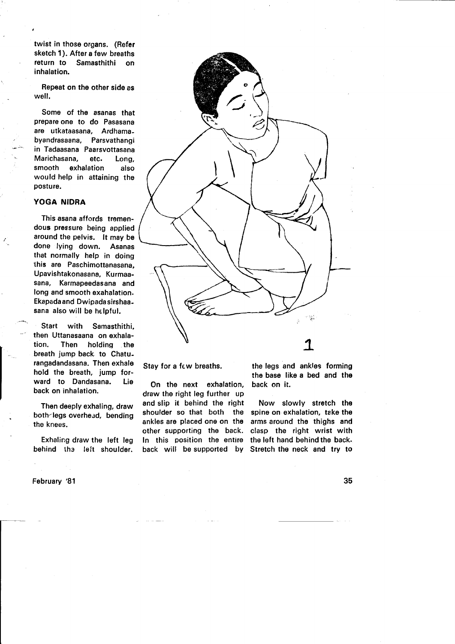twist in those organs. (Refer sketch 1). After a few breaths return to Samasthithi on inhalation.

Repeat on the other side as well.

Some of the asanas that prepare one to do Pasasana are utkataasana, Ardhama. byandrasaana, Parsvathangi in Tadaasana Paarsvottasana Marichasana, etc. Long, smooth exhalation also would help in attaining the posture.

#### YOGA NIDRA

This asana affords tremendous pressure being applied around the pelvis. lt may be done lying down. Asanas that normally help in doing 'this are Paschimottanasana, Upavishtakonasana, Kurmaasana, Karmapeedasana and long and smooth exahalation. Ekapada and Dwipada sirshaasana also will be helpful.

Start with Samasthithi, then Uttanasaana on exhalation. Then holding the breath jump back to Chaturangadandasana. Then exhale hold the breath, jump forward to Dandasana. Lie back on inhalation.

Then deeply exhaling, draw both-legs overhead, bending the knees.

Exhaling draw the left leg behind the left shoulder.

February '81



Stay for a fcw breaths.

On the next exhalation, draw the right leg futther up and slip it behind the right shoulder so that both the ankles are placed one on the other supporting the back. In this position the entire back will be supported by Stretch the neck and try to

the legs and ankles forming the base like a bed and the back on it.

Now slowly stretch the spine on exhalation, take the arms around the thighs and clasp the right wrist with the left hand behind the back.

35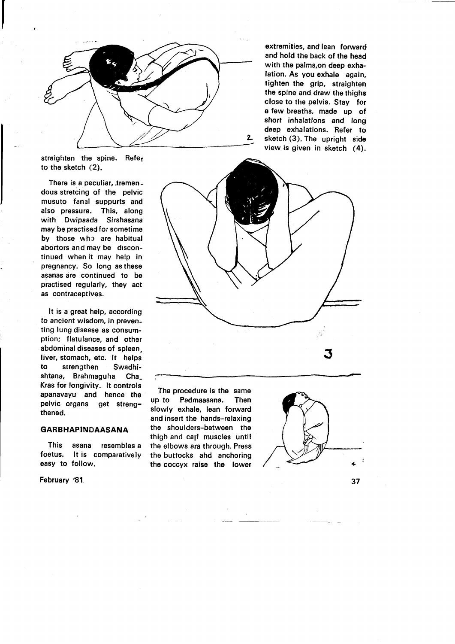

extremities, and lean forward and hold the back of the head with the palms,on deep exhalation. As you exhale again, tighten the grip, straighten the spine and draw the thighs close to the pelvis. Stay for a few breaths, made up of short inhalatlons and long deep exhalations. Refer to sketch (3). The upright side view is given in sketch (4).

straighten the spine. Refer to the sketch (2).

There is a peculiar, tremendous stretcing of the pelvic musuto fanal suppurts and also pressure. This, along with Dwipaada Sirshasana may be practised for sometime by those who are habitual abortors and may be discontinued when it may help in pregnancy. So long as these asanas are continued to be practised regularly, they act as contraceptives.

It is a great help, according to ancient wisdom, in preventing lung disease as consumption; flatulance, and other abdominal diseases of spleen, liver, stomach, etc. lt helps to strengthen Swadhishtana, Brahmaguha Cha Kras for longivity. lt controls apanavayu and hence the pelvic organs get strengthened.

#### GARBHAPINDAASANA

This asana resembles a foetus. lt is comparatively easy to follow.

February '81,



The procedure is the same up to Padmaasana. Then slowly exhale, lean forward and insert the hands-relaxing the shoulders-between the thigh and ca<sub>lf</sub> muscles until the elbows ara through, Press the buttocks ahd anchoring the coccyx raise the lower

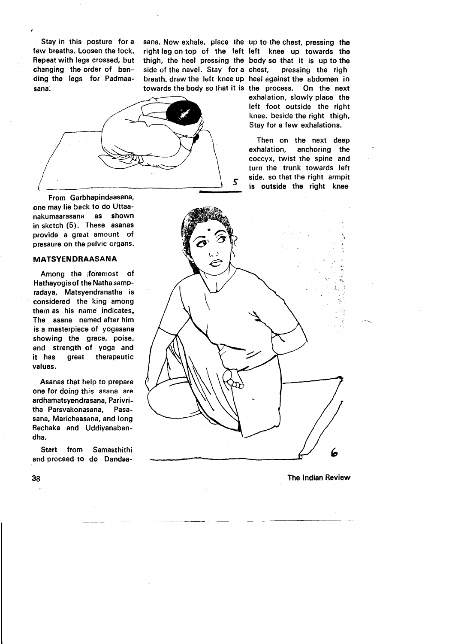Stay in this posture for a few breaths. Loosen the lock. Repeat with legs crossed, but changing the order of bending the legs for Padmaasana.

side of the navel. Stay for a chest, towards the body so that it is the process.

sana. Now exhale, place the up to the chest, pressing the right leg on top of the left left knee up towards the thigh, the heel pressing the body so that it is up to the breath. draw the left knee up heel against the abdomen in pressing the righ On the next exhalation, slowly place the left foot outside the right



From Garbhapindaasana, one may lie back to do Uttaa' nakumaarasana as shown in sketch (5). These asanas provide a great amount of pressure on the pelvic organs.

#### MATSYENDRAASANA

Among the lforemost of Hathayogis of the Natha sampradaya, Matsyendranatha is considered the king among thern as his name indicates. The asana named after him is a masterpiece of yogasana showing the grace, poise, and strength of yoga and it has great therapeutic values.

Asanas that help to prepare one for doing this asana are ardhamatsyendrasana, Parivritha Parsvakonasana, Pasasana, Marichaasana, and long Rechaka and Uddiyanabandha.

Start from Samasthithi and proceed to do Dandaaknee. beside the right thigh, Stay for a few exhalations. Then on the next deep

exhalation, anchoring the coccyx, twist the spine and turn the trunk towards left side, so that the right armpit is outside the right knee



The lndian Review

38